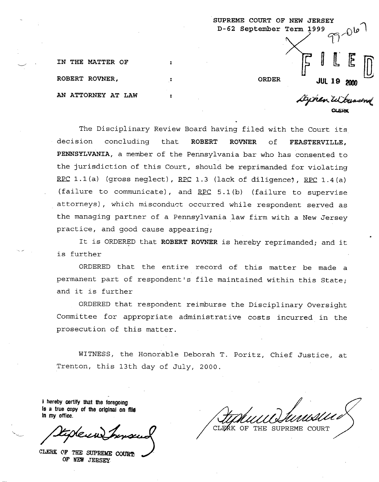|                    | SUPREME COURT OF NEW JERSEY<br>D-62 September Term 1999<br>$-206$ |
|--------------------|-------------------------------------------------------------------|
| IN THE MATTER OF   |                                                                   |
| ROBERT ROVNER,     | <b>ORDER</b><br><b>JUL 19</b><br>2000                             |
| AN ATTORNEY AT LAW | Degren Wiensend                                                   |

The Disciplinary Review Board having filed with the Court its **ROVNER** of **FEASTERVILLE, PENNSYLVANIA,** a member of the Pennsylvania bar who has consented to decision concluding that **ROBERT**  the jurisdiction of this Court, should be reprimanded for violating RPC 1.1(a) (gross neglect), RPC 1.3 (lack of diligence), RPC 1.4(a) (failure to communicate), and RPC 5.1(b) (failure to supervise attorneys) , which misconduct occurred while respondent served as the managing partner of a Pennsylvania law firm with a New Jersey practice, and good cause appearing;

It is ORDERED that **ROBERT ROVNER** is hereby reprimanded; and it is further

ORDERED that the entire record of this matter be made a permanent part of respondent's file maintained within this State; and it is further

ORDERED that respondent reimburse the Disciplinary Oversight Committee for appropriate administrative costs incurred in the prosecution of this matter.

WITNESS, the Honorable Deborah T. Poritz, Chief Justice, at Trenton, this 13th day of July, 2000.

**i** hereby certify that the foregoing **Is a true copy of the origlnal on RIG In my office.** 

.. ,

**CLERK OF** THE **SUPREME COURZS OF HEW JERSEY** 

CLEAK OF THE SUPREME COURT